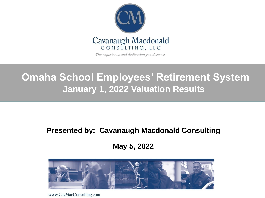

The experience and dedication you deserve

## **Omaha School Employees' Retirement System January 1, 2022 Valuation Results**

#### **Presented by: Cavanaugh Macdonald Consulting**

**Actuarial Consulting Services May 5, 2022**



www.CavMacConsulting.com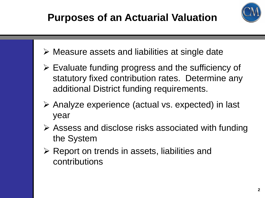

- ➢ Measure assets and liabilities at single date
- ➢ Evaluate funding progress and the sufficiency of statutory fixed contribution rates. Determine any additional District funding requirements.
- ➢ Analyze experience (actual vs. expected) in last year
- ➢ Assess and disclose risks associated with funding the System
- ➢ Report on trends in assets, liabilities and contributions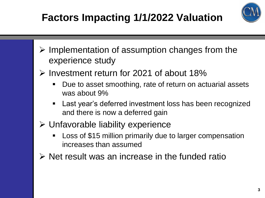# **Factors Impacting 1/1/2022 Valuation**



- ➢ Implementation of assumption changes from the experience study
- ➢ Investment return for 2021 of about 18%
	- Due to asset smoothing, rate of return on actuarial assets was about 9%
	- Last year's deferred investment loss has been recognized and there is now a deferred gain
- ➢ Unfavorable liability experience
	- Loss of \$15 million primarily due to larger compensation increases than assumed
- $\triangleright$  Net result was an increase in the funded ratio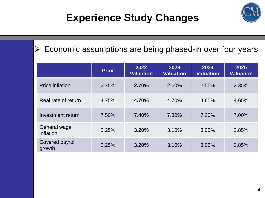## **Experience Study Changes**



### ➢ Economic assumptions are being phased-in over four years

|                                  | <b>Prior</b> | 2022<br><b>Valuation</b> | 2023<br><b>Valuation</b> | 2024<br><b>Valuation</b> | 2025<br><b>Valuation</b> |
|----------------------------------|--------------|--------------------------|--------------------------|--------------------------|--------------------------|
| <b>Price inflation</b>           | 2.75%        | 2.70%                    | 2.60%                    | 2.55%                    | 2.35%                    |
| Real rate of return              | 4.75%        | 4.70%                    | 4.70%                    | 4.65%                    | 4.65%                    |
| Investment return                | 7.50%        | 7.40%                    | 7.30%                    | 7.20%                    | 7.00%                    |
| <b>General wage</b><br>inflation | 3.25%        | 3.20%                    | 3.10%                    | 3.05%                    | 2.85%                    |
| Covered payroll<br>growth        | 3.25%        | 3.20%                    | 3.10%                    | 3.05%                    | 2.85%                    |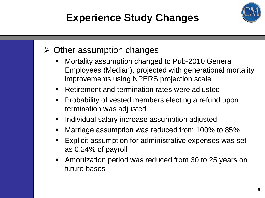# **Experience Study Changes**



### $\triangleright$  Other assumption changes

- Mortality assumption changed to Pub-2010 General Employees (Median), projected with generational mortality improvements using NPERS projection scale
- Retirement and termination rates were adjusted
- Probability of vested members electing a refund upon termination was adjusted
- **E** Individual salary increase assumption adjusted
- Marriage assumption was reduced from 100% to 85%
- Explicit assumption for administrative expenses was set as 0.24% of payroll
- Amortization period was reduced from 30 to 25 years on future bases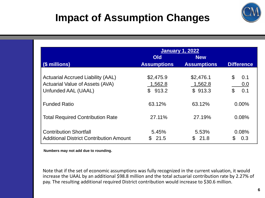

## **Impact of Assumption Changes**

|                                                | <b>January 1, 2022</b> |                    |                       |
|------------------------------------------------|------------------------|--------------------|-----------------------|
|                                                | <b>Old</b>             | <b>New</b>         |                       |
| (\$ millions)                                  | <b>Assumptions</b>     | <b>Assumptions</b> | <b>Difference</b>     |
|                                                |                        |                    |                       |
| <b>Actuarial Accrued Liability (AAL)</b>       | \$2,475.9              | \$2,476.1          | \$<br>0.1             |
| <b>Actuarial Value of Assets (AVA)</b>         | 1,562.8                | 1,562.8            | 0.0                   |
| Unfunded AAL (UAAL)                            | \$913.2                | \$913.3            | $\mathfrak{L}$<br>0.1 |
|                                                |                        |                    |                       |
| <b>Funded Ratio</b>                            | 63.12%                 | 63.12%             | 0.00%                 |
|                                                |                        |                    |                       |
| <b>Total Required Contribution Rate</b>        | 27.11%                 | 27.19%             | 0.08%                 |
|                                                |                        |                    |                       |
| <b>Contribution Shortfall</b>                  | 5.45%                  | 5.53%              | 0.08%                 |
| <b>Additional District Contribution Amount</b> | 21.5                   | 21.8<br>S.         | 0.3                   |

**Numbers may not add due to rounding.**

Note that if the set of economic assumptions was fully recognized in the current valuation, it would increase the UAAL by an additional \$98.8 million and the total actuarial contribution rate by 2.27% of pay. The resulting additional required District contribution would increase to \$30.6 million.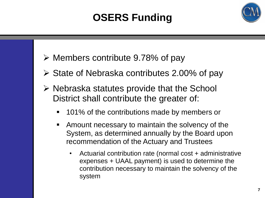# **OSERS Funding**



- ➢ Members contribute 9.78% of pay
- $\triangleright$  State of Nebraska contributes 2.00% of pay
- $\triangleright$  Nebraska statutes provide that the School District shall contribute the greater of:
	- 101% of the contributions made by members or
	- **EXTE** Amount necessary to maintain the solvency of the System, as determined annually by the Board upon recommendation of the Actuary and Trustees
		- Actuarial contribution rate (normal cost + administrative expenses + UAAL payment) is used to determine the contribution necessary to maintain the solvency of the system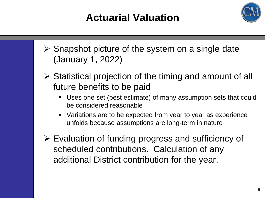## **Actuarial Valuation**



- $\triangleright$  Snapshot picture of the system on a single date (January 1, 2022)
- ➢ Statistical projection of the timing and amount of all future benefits to be paid
	- Uses one set (best estimate) of many assumption sets that could be considered reasonable
	- Variations are to be expected from year to year as experience unfolds because assumptions are long-term in nature
- ➢ Evaluation of funding progress and sufficiency of scheduled contributions. Calculation of any additional District contribution for the year.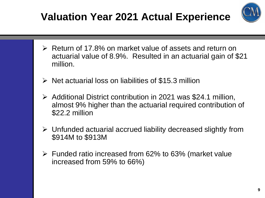# **Valuation Year 2021 Actual Experience**



- ➢ Return of 17.8% on market value of assets and return on actuarial value of 8.9%. Resulted in an actuarial gain of \$21 million.
- $\triangleright$  Net actuarial loss on liabilities of \$15.3 million
- ➢ Additional District contribution in 2021 was \$24.1 million, almost 9% higher than the actuarial required contribution of \$22.2 million
- ➢ Unfunded actuarial accrued liability decreased slightly from \$914M to \$913M
- ➢ Funded ratio increased from 62% to 63% (market value increased from 59% to 66%)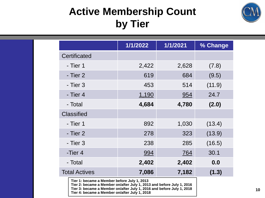## **Active Membership Count by Tier**



|                                                                                                                                                                                               | 1/1/2022   | 1/1/2021   | % Change |
|-----------------------------------------------------------------------------------------------------------------------------------------------------------------------------------------------|------------|------------|----------|
| <b>Certificated</b>                                                                                                                                                                           |            |            |          |
| - Tier 1                                                                                                                                                                                      | 2,422      | 2,628      | (7.8)    |
| - Tier 2                                                                                                                                                                                      | 619        | 684        | (9.5)    |
| - Tier 3                                                                                                                                                                                      | 453        | 514        | (11.9)   |
| - Tier 4                                                                                                                                                                                      | 1,190      | 954        | 24.7     |
| - Total                                                                                                                                                                                       | 4,684      | 4,780      | (2.0)    |
| <b>Classified</b>                                                                                                                                                                             |            |            |          |
| - Tier 1                                                                                                                                                                                      | 892        | 1,030      | (13.4)   |
| - Tier 2                                                                                                                                                                                      | 278        | 323        | (13.9)   |
| - Tier 3                                                                                                                                                                                      | 238        | 285        | (16.5)   |
| -Tier 4                                                                                                                                                                                       | <u>994</u> | <u>764</u> | 30.1     |
| - Total                                                                                                                                                                                       | 2,402      | 2,402      | 0.0      |
| <b>Total Actives</b><br>7,086<br>7,182                                                                                                                                                        |            |            | (1.3)    |
| Tier 1: became a Member before July 1, 2013<br>Tier 2: became a Member on/after July 1, 2013 and before July 1, 2016<br>Tier 3: became a Member on/after July 1, 2016 and before July 1, 2018 |            |            |          |

**Tier 4: became a Member on/after July 1, 2018**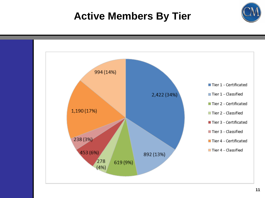# **Active Members By Tier**



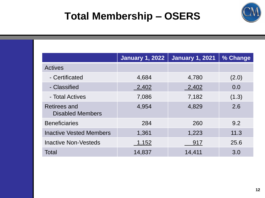

## **Total Membership – OSERS**

|                                                | <b>January 1, 2022</b> | <b>January 1, 2021</b> | % Change |
|------------------------------------------------|------------------------|------------------------|----------|
| <b>Actives</b>                                 |                        |                        |          |
| - Certificated                                 | 4,684                  | 4,780                  | (2.0)    |
| - Classified                                   | 2,402                  | 2,402                  | 0.0      |
| - Total Actives                                | 7,086                  | 7,182                  | (1.3)    |
| <b>Retirees and</b><br><b>Disabled Members</b> | 4,954                  | 4,829                  | 2.6      |
| <b>Beneficiaries</b>                           | 284                    | 260                    | 9.2      |
| <b>Inactive Vested Members</b>                 | 1,361                  | 1,223                  | 11.3     |
| <b>Inactive Non-Vesteds</b>                    | 1,152                  | 917                    | 25.6     |
| Total                                          | 14,837                 | 14,411                 | 3.0      |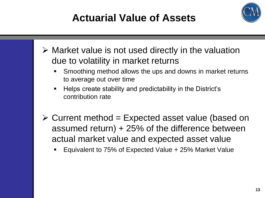# **Actuarial Value of Assets**



- ➢ Market value is not used directly in the valuation due to volatility in market returns
	- Smoothing method allows the ups and downs in market returns to average out over time
	- Helps create stability and predictability in the District's contribution rate
- $\triangleright$  Current method = Expected asset value (based on assumed return) + 25% of the difference between actual market value and expected asset value
	- Equivalent to 75% of Expected Value + 25% Market Value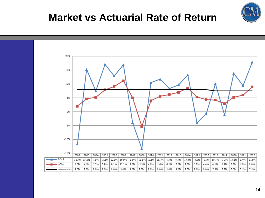

## **Market vs Actuarial Rate of Return**

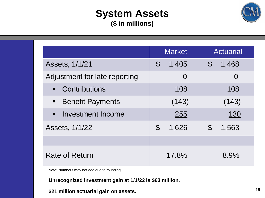### **System Assets (\$ in millions)**



|                                                                        | <b>Market</b>           | <b>Actuarial</b>       |
|------------------------------------------------------------------------|-------------------------|------------------------|
| Assets, 1/1/21                                                         | 1,405<br>$\mathfrak{F}$ | 1,468<br>$\mathcal{C}$ |
| Adjustment for late reporting                                          | O                       | $\overline{0}$         |
| • Contributions                                                        | 108                     | 108                    |
| <b>Benefit Payments</b><br>$\begin{array}{c} \blacksquare \end{array}$ | (143)                   | (143)                  |
| Investment Income<br>$\blacksquare$ .                                  | 255                     | <u>130</u>             |
| Assets, 1/1/22                                                         | $\mathfrak{P}$<br>1,626 | 1,563<br>$\mathcal{S}$ |
|                                                                        |                         |                        |
| <b>Rate of Return</b>                                                  | 17.8%                   | 8.9%                   |

Note: Numbers may not add due to rounding.

**Unrecognized investment gain at 1/1/22 is \$63 million.**

**\$21 million actuarial gain on assets.**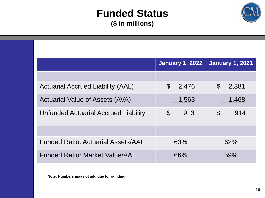### **Funded Status (\$ in millions)**



|                                           | <b>January 1, 2022</b> | <b>January 1, 2021</b> |
|-------------------------------------------|------------------------|------------------------|
|                                           |                        |                        |
| <b>Actuarial Accrued Liability (AAL)</b>  | $\mathbb{S}$<br>2,476  | $\mathbb{S}$<br>2,381  |
| <b>Actuarial Value of Assets (AVA)</b>    | 1,563                  | 1,468                  |
| Unfunded Actuarial Accrued Liability      | $\mathfrak{S}$<br>913  | $\mathbb S$<br>914     |
|                                           |                        |                        |
| <b>Funded Ratio: Actuarial Assets/AAL</b> | 63%                    | 62%                    |
| <b>Funded Ratio: Market Value/AAL</b>     | 66%                    | 59%                    |

**Note: Numbers may not add due to rounding**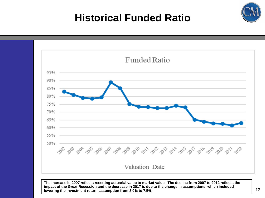## **Historical Funded Ratio**



**The increase in 2007 reflects resetting actuarial value to market value. The decline from 2007 to 2012 reflects the impact of the Great Recession and the decrease in 2017 is due to the change in assumptions, which included lowering the investment return assumption from 8.0% to 7.5%.**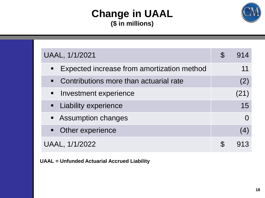### **Change in UAAL (\$ in millions)**



| UAAL, 1/1/2021                                               |  | 914  |
|--------------------------------------------------------------|--|------|
| Expected increase from amortization method<br>$\blacksquare$ |  | 11   |
| • Contributions more than actuarial rate                     |  | (2)  |
| • Investment experience                                      |  | (21) |
| • Liability experience                                       |  | 15   |
| • Assumption changes                                         |  |      |
| • Other experience                                           |  | (4)  |
| UAAL, 1/1/2022                                               |  | 913  |

**UAAL = Unfunded Actuarial Accrued Liability**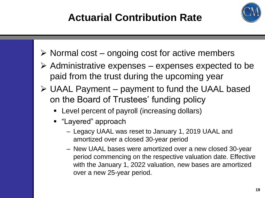

- $\triangleright$  Normal cost ongoing cost for active members
- $\triangleright$  Administrative expenses expenses expected to be paid from the trust during the upcoming year
- ➢ UAAL Payment payment to fund the UAAL based on the Board of Trustees' funding policy
	- Level percent of payroll (increasing dollars)
	- "Layered" approach
		- Legacy UAAL was reset to January 1, 2019 UAAL and amortized over a closed 30-year period
		- New UAAL bases were amortized over a new closed 30-year period commencing on the respective valuation date. Effective with the January 1, 2022 valuation, new bases are amortized over a new 25-year period.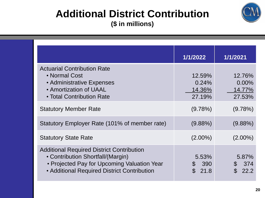### **Additional District Contribution (\$ in millions)**



|                                                                                                                                                                                     | 1/1/2022                            | 1/1/2021                                 |
|-------------------------------------------------------------------------------------------------------------------------------------------------------------------------------------|-------------------------------------|------------------------------------------|
| <b>Actuarial Contribution Rate</b><br>• Normal Cost<br>• Administrative Expenses<br>• Amortization of UAAL<br>• Total Contribution Rate                                             | 12.59%<br>0.24%<br>14.36%<br>27.19% | 12.76%<br>$0.00\%$<br>14.77%<br>27.53%   |
| <b>Statutory Member Rate</b>                                                                                                                                                        | $(9.78\%)$                          | $(9.78\%)$                               |
| Statutory Employer Rate (101% of member rate)                                                                                                                                       | $(9.88\%)$                          | $(9.88\%)$                               |
| <b>Statutory State Rate</b>                                                                                                                                                         | $(2.00\%)$                          | $(2.00\%)$                               |
| <b>Additional Required District Contribution</b><br>• Contribution Shortfall/(Margin)<br>• Projected Pay for Upcoming Valuation Year<br>• Additional Required District Contribution | 5.53%<br>390<br>$\mathbb S$<br>21.8 | 5.87%<br>\$374<br>$\mathfrak{L}$<br>22.2 |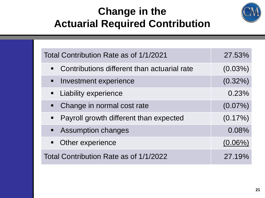## **Change in the Actuarial Required Contribution**



| Total Contribution Rate as of 1/1/2021        | 27.53%     |
|-----------------------------------------------|------------|
| • Contributions different than actuarial rate | $(0.03\%)$ |
| • Investment experience                       | $(0.32\%)$ |
| <b>E</b> Liability experience                 | 0.23%      |
| • Change in normal cost rate                  | $(0.07\%)$ |
| • Payroll growth different than expected      | $(0.17\%)$ |
| • Assumption changes                          | 0.08%      |
| • Other experience                            | $(0.06\%)$ |
| Total Contribution Rate as of 1/1/2022        | 27.19%     |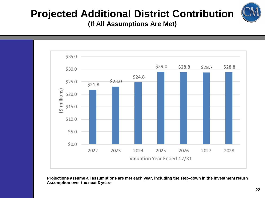# **Projected Additional District Contribution**

**(If All Assumptions Are Met)**



**Projections assume all assumptions are met each year, including the step-down in the investment return Assumption over the next 3 years.**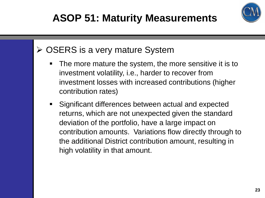# **ASOP 51: Maturity Measurements**



### ➢ OSERS is a very mature System

- The more mature the system, the more sensitive it is to investment volatility, i.e., harder to recover from investment losses with increased contributions (higher contribution rates)
- **EXE** Significant differences between actual and expected returns, which are not unexpected given the standard deviation of the portfolio, have a large impact on contribution amounts. Variations flow directly through to the additional District contribution amount, resulting in high volatility in that amount.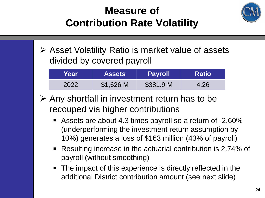## **Measure of Contribution Rate Volatility**



➢ Asset Volatility Ratio is market value of assets divided by covered payroll

| Year | <b>Assets</b> | <b>Payroll</b> | <b>Ratio</b> |
|------|---------------|----------------|--------------|
| 2022 | \$1,626 M     | \$381.9 M      | 4.26         |

- ➢ Any shortfall in investment return has to be recouped via higher contributions
	- Assets are about 4.3 times payroll so a return of -2.60% (underperforming the investment return assumption by 10%) generates a loss of \$163 million (43% of payroll)
	- Resulting increase in the actuarial contribution is 2.74% of payroll (without smoothing)
	- The impact of this experience is directly reflected in the additional District contribution amount (see next slide)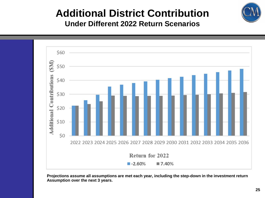

#### **Additional District Contribution Under Different 2022 Return Scenarios**



**Projections assume all assumptions are met each year, including the step-down in the investment return Assumption over the next 3 years.**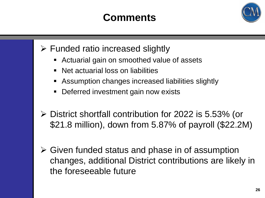## **Comments**



- $\triangleright$  Funded ratio increased slightly
	- Actuarial gain on smoothed value of assets
	- Net actuarial loss on liabilities
	- Assumption changes increased liabilities slightly
	- Deferred investment gain now exists
- ➢ District shortfall contribution for 2022 is 5.53% (or \$21.8 million), down from 5.87% of payroll (\$22.2M)
- ➢ Given funded status and phase in of assumption changes, additional District contributions are likely in the foreseeable future